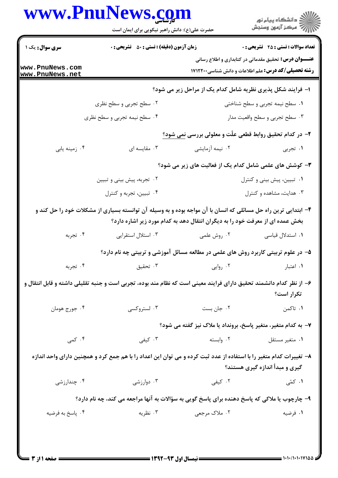## www.PnuNews.com

|                                           | حضرت علی(ع): دانش راهبر نیکویی برای ایمان است                                                                                                                                                   |                                                             | ِ<br>∭ دانشڪاه پيام نور<br>∭ مرڪز آزمون وسنڊش                                                                               |
|-------------------------------------------|-------------------------------------------------------------------------------------------------------------------------------------------------------------------------------------------------|-------------------------------------------------------------|-----------------------------------------------------------------------------------------------------------------------------|
| <b>سری سوال :</b> یک ۱                    | <b>زمان آزمون (دقیقه) : تستی : 50 ٪ تشریحی : 0</b>                                                                                                                                              |                                                             | <b>تعداد سوالات : تستی : 25 گشریحی : 0</b>                                                                                  |
| www.PnuNews.com<br><u>www.PnuNews.net</u> |                                                                                                                                                                                                 |                                                             | <b>عنـــوان درس:</b> تحقیق مقدماتی در کتابداری و اطلاع رسانی<br><b>رشته تحصیلی/کد درس:</b> علم اطلاعات و دانش شناسی ۱۷۱۲۲۰۰ |
|                                           |                                                                                                                                                                                                 | ا- فرایند شکل پذیری نظریه شامل کدام یک از مراحل زیر می شود؟ |                                                                                                                             |
|                                           | ۰۲ سطح تجربی و سطح نظری                                                                                                                                                                         |                                                             | ٠١ سطح نيمه تجربي و سطح شناختي                                                                                              |
|                                           | ۰۴ سطح نیمه تجربی و سطح نظری                                                                                                                                                                    |                                                             | ۰۳ سطح تجربي و سطح واقعيت مدار                                                                                              |
|                                           |                                                                                                                                                                                                 | ۲- در کدام تحقیق روابط قطعی علّت و معلولی بررسی نمی شود؟    |                                                                                                                             |
| ۰۴ زمینه یابی                             | ۰۳ مقایسه ای                                                                                                                                                                                    | ۰۲ نیمه آزمایشی                                             | ۰۱ تجربی                                                                                                                    |
|                                           |                                                                                                                                                                                                 |                                                             | ۳- کوشش های علمی شامل کدام یک از فعالیت های زیر می شود؟                                                                     |
|                                           | ۰۲ تجربه، پیش بینی و تبیین                                                                                                                                                                      |                                                             | ۰۱ تبیین، پیش بینی و کنترل                                                                                                  |
|                                           | ۰۴ تبيين، تجربه و كنترل                                                                                                                                                                         |                                                             | ۰۳ هدایت، مشاهده و کنترل                                                                                                    |
|                                           | ۴- ابتدایی ترین راه حل مسائلی که انسان با آن مواجه بوده و به وسیله آن توانسته بسیاری از مشکلات خود را حل کند و<br>بخش عمده ای از معرفت خود را به دیگران انتقال دهد به کدام مورد زیر اشاره دارد؟ |                                                             |                                                                                                                             |
| ۰۴ تجربه                                  | ۰۳ استلال استقرایی                                                                                                                                                                              | ۰۲ روش علمی                                                 | ۰۱ استدلال قیاسی                                                                                                            |
|                                           |                                                                                                                                                                                                 |                                                             |                                                                                                                             |
|                                           | ۵– در علوم تربیتی کاربرد روش های علمی در مطالعه مسائل آموزشی و تربیتی چه نام دارد؟                                                                                                              |                                                             |                                                                                                                             |
| ۰۴ تجربه                                  | ۰۳ تحقیق                                                                                                                                                                                        | ۰۲ روایی                                                    | ٠١ اعتبار                                                                                                                   |
|                                           | ۶– از نظر کدام دانشمند تحقیق دارای فرایند معینی است که نظام مند بوده، تجربی است و جنبه تقلیلی داشته و قابل انتقال و                                                                             |                                                             | تکرار است؟                                                                                                                  |
| ۰۴ جورج هومان                             | ۰۳ لستروکسی                                                                                                                                                                                     | ۰۲ جان بست                                                  | ۰۱ تاکمن                                                                                                                    |
|                                           |                                                                                                                                                                                                 |                                                             | ۷- به کدام متغیر، متغیر پاسخ، برونداد یا ملاک نیز گفته می شود؟                                                              |
| ۰۴ کمی                                    | ۰۳ کیفی                                                                                                                                                                                         | ۰۲ وابسته                                                   | ۰۱ متغیر مستقل                                                                                                              |
|                                           | ۸– تغییرات کدام متغیر را با استفاده از عدد ثبت کرده و می توان این اعداد را با هم جمع کرد و همچنین دارای واحد اندازه                                                                             |                                                             | گیری و مبدأ اندازه گیری هستند؟                                                                                              |
| ۰۴ چندارزشی                               | ۰۳ دوارزشی                                                                                                                                                                                      | ۰۲ کیفی                                                     | ۰۱ کمّی                                                                                                                     |
|                                           | ۹- چارچوب یا ملاکی که پاسخ دهنده برای پاسخ گویی به سؤالات به آنها مراجعه می کند، چه نام دارد؟                                                                                                   |                                                             |                                                                                                                             |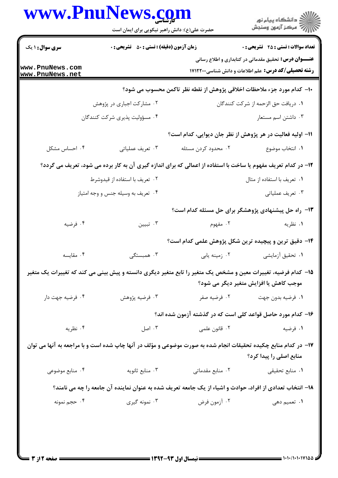| www.PnuNews.com                    | حضرت علی(ع): دانش راهبر نیکویی برای ایمان است      |                                                                                                                 | ڪ دانشڪاه پيام نور<br>//> مرڪز آزمون وسنڊش                                                                                  |
|------------------------------------|----------------------------------------------------|-----------------------------------------------------------------------------------------------------------------|-----------------------------------------------------------------------------------------------------------------------------|
| سری سوال : ۱ یک                    | <b>زمان آزمون (دقیقه) : تستی : 50 ٪ تشریحی : 0</b> |                                                                                                                 | <b>تعداد سوالات : تستی : 25 ۔ تشریحی : 0</b>                                                                                |
| www.PnuNews.com<br>www.PnuNews.net |                                                    |                                                                                                                 | <b>عنـــوان درس:</b> تحقیق مقدماتی در کتابداری و اطلاع رسانی<br><b>رشته تحصیلی/کد درس:</b> علم اطلاعات و دانش شناسی ۱۷۱۲۲۰۰ |
|                                    |                                                    | ∙ا− كدام مورد جزء ملاحظات اخلاقي پژوهش از نقطه نظر تاكمن محسوب مي شود؟                                          |                                                                                                                             |
|                                    | ۲. مشارکت اجباری در پژوهش                          |                                                                                                                 | ۰۱ دریافت حق الزحمه از شرکت کنندگان                                                                                         |
|                                    | ۰۴ مسؤولیت پذیری شرکت کنندگان                      |                                                                                                                 | ۰۳ داشتن اسم مستعار                                                                                                         |
|                                    |                                                    | 11– اولیه فعالیت در هر پژوهش از نظر جان دیوایی، کدام است؟                                                       |                                                                                                                             |
| ۰۴ احساس مشکل                      | ۰۳ تعریف عملیاتی                                   | ۰۲ محدود کردن مسئله                                                                                             | ٠١. انتخاب موضوع                                                                                                            |
|                                    |                                                    | ۱۲- در کدام تعریف مفهوم یا ساخت با استفاده از اعمالی که برای اندازه گیری آن به کار برده می شود، تعریف می گردد؟  |                                                                                                                             |
|                                    | ۰۲ تعریف با استفاده از قیدوشرط                     |                                                                                                                 | ۰۱ تعریف با استفاده از مثال                                                                                                 |
|                                    | ۰۴ تعریف به وسیله جنس و وجه امتیاز                 |                                                                                                                 | ۰۳ تعریف عملیاتی                                                                                                            |
|                                    |                                                    | ۱۳- راه حل پیشنهادی پژوهشگر برای حل مسئله کدام است؟                                                             |                                                                                                                             |
| ۰۴ فرضیه                           | ۰۳ تبيين                                           | ۰۲ مفهوم                                                                                                        | ۰۱ نظریه                                                                                                                    |
|                                    |                                                    | ۱۴– دقیق ترین و پیچیده ترین شکل پژوهش علمی کدام است؟                                                            |                                                                                                                             |
| ۰۴ مقايسه                          | ۰۳ همبستگی                                         |                                                                                                                 |                                                                                                                             |
|                                    |                                                    | ۱۵– کدام فرضیه، تغییرات معین و مشخص یک متغیر را تابع متغیر دیگری دانسته و پیش بینی می کند که تغییرات یک متغیر   | موجب کاهش یا افزایش متغیر دیگر می شود؟                                                                                      |
| ۰۴ فرضيه جهت دار                   | ۰۳ فرضيه پژوهش                                     |                                                                                                                 |                                                                                                                             |
|                                    |                                                    | ۱۶– کدام مورد حاصل قواعد کلی است که در گذشته آزمون شده اند؟                                                     |                                                                                                                             |
| ۰۴ نظریه                           | ۰۳ اصل                                             | ۰۲ قانون علمی                                                                                                   | ۰۱ فرضیه                                                                                                                    |
|                                    |                                                    | ۱۷– در کدام منابع چکیده تحقیقات انجام شده به صورت موضوعی و مؤلف در آنها چاپ شده است و با مراجعه به آنها می توان | منابع اصلی را پیدا کرد؟                                                                                                     |
| ۰۴ منابع موضوعی                    | ۰۳ منابع ثانويه                                    | ٠٢ منابع مقدماتى                                                                                                | ۰۱ منابع تحقیقی                                                                                                             |
|                                    |                                                    | ۱۸– انتخاب تعدادی از افراد، حوادث و اشیاء از یک جامعه تعریف شده به عنوان نماینده آن جامعه را چه می نامند؟       |                                                                                                                             |
| ۰۴ حجم نمونه                       | ۰۳ نمونه گیری                                      | ۰۲ آزمون فرض                                                                                                    | ۰۱ تعمیم دهی                                                                                                                |
|                                    |                                                    |                                                                                                                 |                                                                                                                             |
|                                    |                                                    |                                                                                                                 |                                                                                                                             |